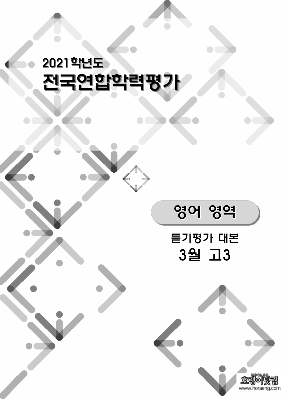# 2021학년도 전국연합학력평가



영어 영역

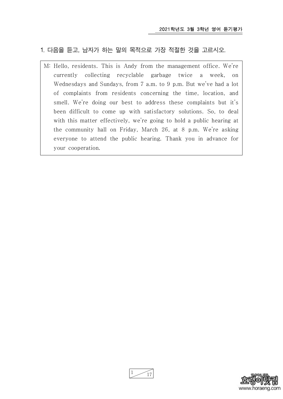### 1. 다음을 듣고, 남자가 하는 말의 목적으로 가장 적절한 것을 고르시오.

M: Hello, residents. This is Andy from the management office. We're currently collecting recyclable garbage twice a week, on Wednesdays and Sundays, from 7 a.m. to 9 p.m. But we've had a lot of complaints from residents concerning the time, location, and smell. We're doing our best to address these complaints but it's been difficult to come up with satisfactory solutions. So, to deal with this matter effectively, we're going to hold a public hearing at the community hall on Friday, March 26, at 8 p.m. We're asking everyone to attend the public hearing. Thank you in advance for your cooperation.



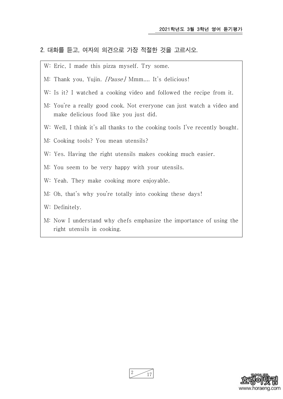#### 2. 대화를 듣고, 여자의 의견으로 가장 적절한 것을 고르시오.

- W: Eric, I made this pizza myself. Try some.
- M: Thank you, Yujin. *[Pause]* Mmm.... It's delicious!
- W: Is it? I watched a cooking video and followed the recipe from it.
- M: You're a really good cook. Not everyone can just watch a video and make delicious food like you just did.
- W: Well, I think it's all thanks to the cooking tools I've recently bought.
- M: Cooking tools? You mean utensils?
- W: Yes. Having the right utensils makes cooking much easier.
- M: You seem to be very happy with your utensils.
- W: Yeah. They make cooking more enjoyable.
- M: Oh, that's why you're totally into cooking these days!
- W: Definitely.
- M: Now I understand why chefs emphasize the importance of using the right utensils in cooking.



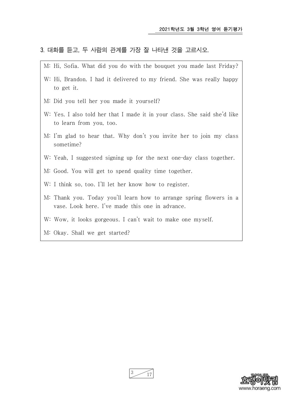#### 3. 대화를 듣고, 두 사람의 관계를 가장 잘 나타낸 것을 고르시오.

- M: Hi, Sofia. What did you do with the bouquet you made last Friday?
- W: Hi, Brandon. I had it delivered to my friend. She was really happy to get it.
- M: Did you tell her you made it yourself?
- W: Yes. I also told her that I made it in your class. She said she'd like to learn from you, too.
- M: I'm glad to hear that. Why don't you invite her to join my class sometime?
- W: Yeah, I suggested signing up for the next one-day class together.
- M: Good. You will get to spend quality time together.
- W: I think so, too. I'll let her know how to register.
- M: Thank you. Today you'll learn how to arrange spring flowers in a vase. Look here. I've made this one in advance.
- W: Wow, it looks gorgeous. I can't wait to make one myself.
- M: Okay. Shall we get started?



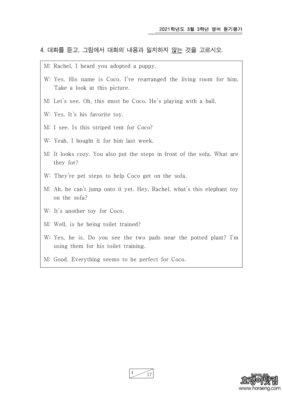#### 4. 대화를 듣고, 그림에서 대화의 내용과 일치하지 않는 것을 고르시오.

- M: Rachel, I heard you adopted a puppy.
- W: Yes. His name is Coco. I've rearranged the living room for him. Take a look at this picture.
- M: Let's see. Oh, this must be Coco. He's playing with a ball.
- W: Yes. It's his favorite toy.
- M: I see. Is this striped tent for Coco?
- W: Yeah. I bought it for him last week.
- M: It looks cozy. You also put the steps in front of the sofa. What are they for?
- W: They're pet steps to help Coco get on the sofa.
- M: Ah, he can't jump onto it yet. Hey, Rachel, what's this elephant toy on the sofa?
- W: It's another toy for Coco.
- M: Well, is he being toilet trained?
- W: Yes, he is. Do you see the two pads near the potted plant? I'm using them for his toilet training.
- M: Good. Everything seems to be perfect for Coco.



17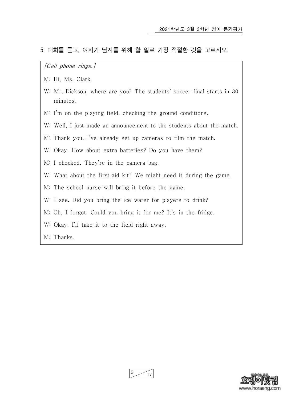#### 5. 대화를 듣고, 여자가 남자를 위해 할 일로 가장 적절한 것을 고르시오.

[Cell phone rings.]

- M: Hi, Ms. Clark.
- W: Mr. Dickson, where are you? The students' soccer final starts in 30 minutes.
- M: I'm on the playing field, checking the ground conditions.
- W: Well, I just made an announcement to the students about the match.
- M: Thank you. I've already set up cameras to film the match.
- W: Okay. How about extra batteries? Do you have them?
- M: I checked. They're in the camera bag.
- W: What about the first-aid kit? We might need it during the game.
- M: The school nurse will bring it before the game.
- W: I see. Did you bring the ice water for players to drink?
- M: Oh, I forgot. Could you bring it for me? It's in the fridge.
- W: Okay. I'll take it to the field right away.

M: Thanks.



 $5 \frac{17}{2}$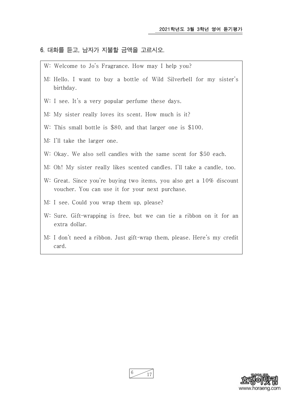#### 6. 대화를 듣고, 남자가 지불할 금액을 고르시오.

- W: Welcome to Jo's Fragrance. How may I help you?
- M: Hello. I want to buy a bottle of Wild Silverbell for my sister's birthday.
- W: I see. It's a very popular perfume these days.
- M: My sister really loves its scent. How much is it?
- W: This small bottle is \$80, and that larger one is \$100.
- M: I'll take the larger one.
- W: Okay. We also sell candles with the same scent for \$50 each.
- M: Oh! My sister really likes scented candles. I'll take a candle, too.
- W: Great. Since you're buying two items, you also get a 10% discount voucher. You can use it for your next purchase.
- M: I see. Could you wrap them up, please?
- W: Sure. Gift-wrapping is free, but we can tie a ribbon on it for an extra dollar.
- M: I don't need a ribbon. Just gift-wrap them, please. Here's my credit card.



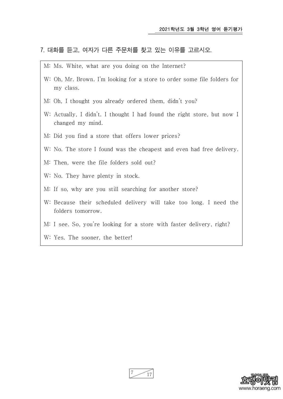#### 7. 대화를 듣고, 여자가 다른 주문처를 찾고 있는 이유를 고르시오.

- M: Ms. White, what are you doing on the Internet?
- W: Oh, Mr. Brown. I'm looking for a store to order some file folders for my class.
- M: Oh, I thought you already ordered them, didn't you?
- W: Actually, I didn't. I thought I had found the right store, but now I changed my mind.
- M: Did you find a store that offers lower prices?
- W: No. The store I found was the cheapest and even had free delivery.
- M: Then, were the file folders sold out?
- W: No. They have plenty in stock.
- M: If so, why are you still searching for another store?
- W: Because their scheduled delivery will take too long. I need the folders tomorrow.
- M: I see. So, you're looking for a store with faster delivery, right?
- W: Yes. The sooner, the better!



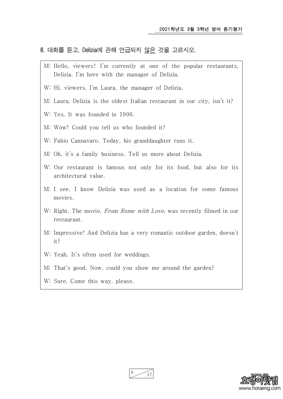#### 8. 대화를 듣고, Delizia에 관해 언급되지 않은 것을 고르시오.

- M: Hello, viewers! I'm currently at one of the popular restaurants, Delizia. I'm here with the manager of Delizia.
- W: Hi, viewers. I'm Laura, the manager of Delizia.
- M: Laura, Delizia is the oldest Italian restaurant in our city, isn't it?
- W: Yes. It was founded in 1906.
- M: Wow! Could you tell us who founded it?
- W: Fabio Cannavaro. Today, his granddaughter runs it.
- M: Oh, it's a family business. Tell us more about Delizia.
- W: Our restaurant is famous not only for its food, but also for its architectural value.
- M: I see. I know Delizia was used as a location for some famous movies.
- W: Right. The movie, From Rome with Love, was recently filmed in our restaurant.
- M: Impressive! And Delizia has a very romantic outdoor garden, doesn't it?
- W: Yeah. It's often used for weddings.
- M: That's good. Now, could you show me around the garden?
- W: Sure. Come this way, please.

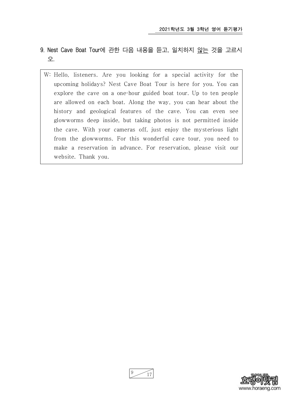- 9. Nest Cave Boat Tour에 관한 다음 내용을 듣고, 일치하지 않는 것을 고르시 오.
	- W: Hello, listeners. Are you looking for a special activity for the upcoming holidays? Nest Cave Boat Tour is here for you. You can explore the cave on a one-hour guided boat tour. Up to ten people are allowed on each boat. Along the way, you can hear about the history and geological features of the cave. You can even see glowworms deep inside, but taking photos is not permitted inside the cave. With your cameras off, just enjoy the mysterious light from the glowworms. For this wonderful cave tour, you need to make a reservation in advance. For reservation, please visit our website. Thank you.



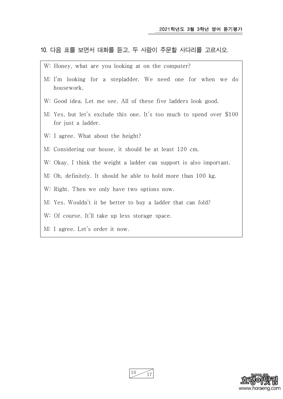# 10. 다음 표를 보면서 대화를 듣고, 두 사람이 주문할 사다리를 고르시오.

- W: Honey, what are you looking at on the computer?
- M: I'm looking for a stepladder. We need one for when we do housework.
- W: Good idea. Let me see. All of these five ladders look good.
- M: Yes, but let's exclude this one. It's too much to spend over \$100 for just a ladder.
- W: I agree. What about the height?
- M: Considering our house, it should be at least 120 cm.
- W: Okay. I think the weight a ladder can support is also important.
- M: Oh, definitely. It should be able to hold more than 100 kg.
- W: Right. Then we only have two options now.
- M: Yes. Wouldn't it be better to buy a ladder that can fold?
- W: Of course. It'll take up less storage space.
- M: I agree. Let's order it now.



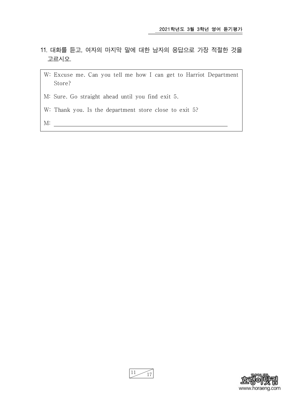- 11. 대화를 듣고, 여자의 마지막 말에 대한 남자의 응답으로 가장 적절한 것을 고르시오.
	- W: Excuse me. Can you tell me how I can get to Harriot Department Store?
	- M: Sure. Go straight ahead until you find exit 5.
	- W: Thank you. Is the department store close to exit 5?
	- M:



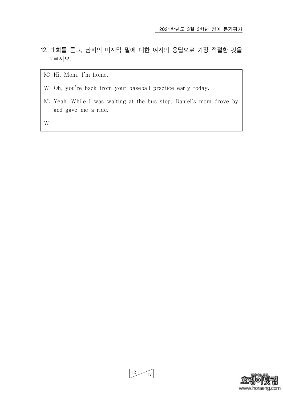- 12. 대화를 듣고, 남자의 마지막 말에 대한 여자의 응답으로 가장 적절한 것을 고르시오.
	- M: Hi, Mom. I'm home.
	- W: Oh, you're back from your baseball practice early today.
	- M: Yeah. While I was waiting at the bus stop, Daniel's mom drove by and gave me a ride.

W:



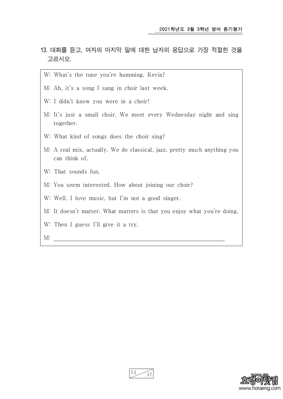- 13. 대화를 듣고, 여자의 마지막 말에 대한 남자의 응답으로 가장 적절한 것을 고르시오.
	- W: What's the tune you're humming, Kevin?
	- M: Ah, it's a song I sang in choir last week.
	- W: I didn't know you were in a choir!
	- M: It's just a small choir. We meet every Wednesday night and sing together.
	- W: What kind of songs does the choir sing?
	- M: A real mix, actually. We do classical, jazz, pretty much anything you can think of.
	- W: That sounds fun.
	- M: You seem interested. How about joining our choir?
	- W: Well, I love music, but I'm not a good singer.
	- M: It doesn't matter. What matters is that you enjoy what you're doing.
	- W: Then I guess I'll give it a try.

M:



 $13 \frac{17}{17}$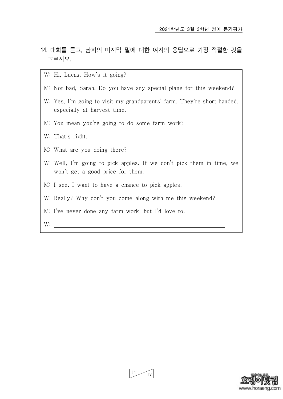- 14. 대화를 듣고, 남자의 마지막 말에 대한 여자의 응답으로 가장 적절한 것을 고르시오.
	- W: Hi, Lucas. How's it going?
	- M: Not bad, Sarah. Do you have any special plans for this weekend?
	- W: Yes, I'm going to visit my grandparents' farm. They're short-handed, especially at harvest time.
	- M: You mean you're going to do some farm work?
	- W: That's right.
	- M: What are you doing there?
	- W: Well, I'm going to pick apples. If we don't pick them in time, we won't get a good price for them.
	- M: I see. I want to have a chance to pick apples.
	- W: Really? Why don't you come along with me this weekend?
	- M: I've never done any farm work, but I'd love to.
	- W:



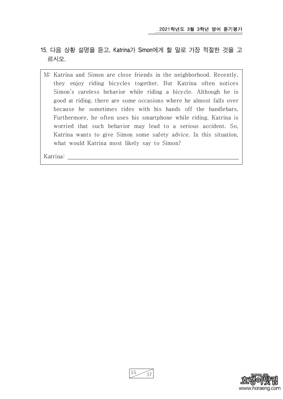- 15. 다음 상황 설명을 듣고, Katrina가 Simon에게 할 말로 가장 적절한 것을 고 르시오.
	- M: Katrina and Simon are close friends in the neighborhood. Recently, they enjoy riding bicycles together. But Katrina often notices Simon's careless behavior while riding a bicycle. Although he is good at riding, there are some occasions where he almost falls over because he sometimes rides with his hands off the handlebars. Furthermore, he often uses his smartphone while riding. Katrina is worried that such behavior may lead to a serious accident. So, Katrina wants to give Simon some safety advice. In this situation, what would Katrina most likely say to Simon?

Katrina:



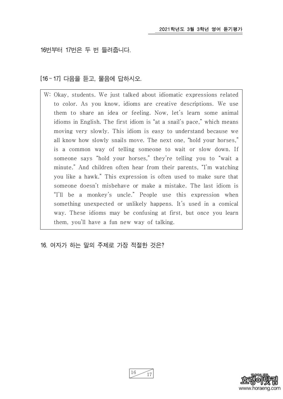16번부터 17번은 두 번 들려줍니다.

[16 ~ 17] 다음을 듣고, 물음에 답하시오.

W: Okay, students. We just talked about idiomatic expressions related to color. As you know, idioms are creative descriptions. We use them to share an idea or feeling. Now, let's learn some animal idioms in English. The first idiom is "at a snail's pace," which means moving very slowly. This idiom is easy to understand because we all know how slowly snails move. The next one, "hold your horses," is a common way of telling someone to wait or slow down. If someone says "hold your horses," they're telling you to "wait a minute." And children often hear from their parents, "I'm watching you like a hawk." This expression is often used to make sure that someone doesn't misbehave or make a mistake. The last idiom is "I'll be a monkey's uncle." People use this expression when something unexpected or unlikely happens. It's used in a comical way. These idioms may be confusing at first, but once you learn them, you'll have a fun new way of talking.

## 16. 여자가 하는 말의 주제로 가장 적절한 것은?